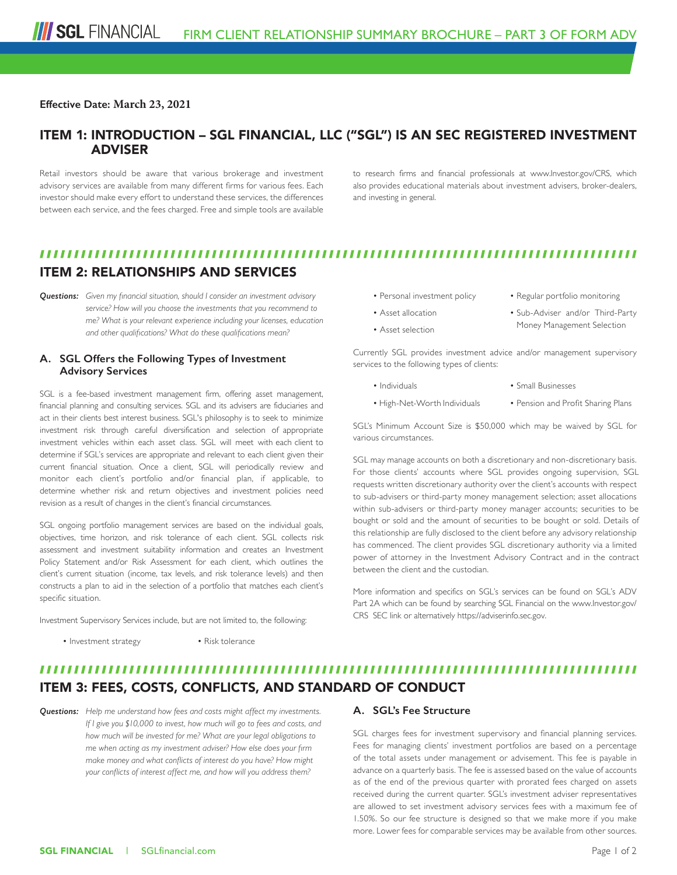#### **Effective Date: March 23, 2021**

## ITEM 1: INTRODUCTION – SGL FINANCIAL, LLC ("SGL") IS AN SEC REGISTERED INVESTMENT ADVISER

Retail investors should be aware that various brokerage and investment advisory services are available from many different firms for various fees. Each investor should make every effort to understand these services, the differences between each service, and the fees charged. Free and simple tools are available

to research firms and financial professionals at www.Investor.gov/CRS, which also provides educational materials about investment advisers, broker-dealers, and investing in general.

## ITEM 2: RELATIONSHIPS AND SERVICES

*Questions: Given my financial situation, should I consider an investment advisory service? How will you choose the investments that you recommend to me? What is your relevant experience including your licenses, education and other qualifications? What do these qualifications mean?*

### **A. SGL Offers the Following Types of Investment Advisory Services**

SGL is a fee-based investment management firm, offering asset management, financial planning and consulting services. SGL and its advisers are fiduciaries and act in their clients best interest business. SGL's philosophy is to seek to minimize investment risk through careful diversification and selection of appropriate investment vehicles within each asset class. SGL will meet with each client to determine if SGL's services are appropriate and relevant to each client given their current financial situation. Once a client, SGL will periodically review and monitor each client's portfolio and/or financial plan, if applicable, to determine whether risk and return objectives and investment policies need revision as a result of changes in the client's financial circumstances.

SGL ongoing portfolio management services are based on the individual goals, objectives, time horizon, and risk tolerance of each client. SGL collects risk assessment and investment suitability information and creates an Investment Policy Statement and/or Risk Assessment for each client, which outlines the client's current situation (income, tax levels, and risk tolerance levels) and then constructs a plan to aid in the selection of a portfolio that matches each client's specific situation.

Investment Supervisory Services include, but are not limited to, the following:

• Investment strategy • Risk tolerance

- Personal investment policy
- Regular portfolio monitoring
- Asset allocation
- Asset selection
- Sub-Adviser and/or Third-Party
- Money Management Selection

Currently SGL provides investment advice and/or management supervisory services to the following types of clients:

- Individuals
- Small Businesses
- High-Net-Worth Individuals
- Pension and Profit Sharing Plans

SGL's Minimum Account Size is \$50,000 which may be waived by SGL for various circumstances.

SGL may manage accounts on both a discretionary and non-discretionary basis. For those clients' accounts where SGL provides ongoing supervision, SGL requests written discretionary authority over the client's accounts with respect to sub-advisers or third-party money management selection; asset allocations within sub-advisers or third-party money manager accounts; securities to be bought or sold and the amount of securities to be bought or sold. Details of this relationship are fully disclosed to the client before any advisory relationship has commenced. The client provides SGL discretionary authority via a limited power of attorney in the Investment Advisory Contract and in the contract between the client and the custodian.

More information and specifics on SGL's services can be found on SGL's ADV Part 2A which can be found by searching SGL Financial on the www.Investor.gov/ CRS SEC link or alternatively https://adviserinfo.sec.gov.

# ITEM 3: FEES, COSTS, CONFLICTS, AND STANDARD OF CONDUCT

*Questions: Help me understand how fees and costs might affect my investments. If I give you \$10,000 to invest, how much will go to fees and costs, and how much will be invested for me? What are your legal obligations to me when acting as my investment adviser? How else does your firm make money and what conflicts of interest do you have? How might your conflicts of interest affect me, and how will you address them?*

## **A. SGL's Fee Structure**

SGL charges fees for investment supervisory and financial planning services. Fees for managing clients' investment portfolios are based on a percentage of the total assets under management or advisement. This fee is payable in advance on a quarterly basis. The fee is assessed based on the value of accounts as of the end of the previous quarter with prorated fees charged on assets received during the current quarter. SGL's investment adviser representatives are allowed to set investment advisory services fees with a maximum fee of 1.50%. So our fee structure is designed so that we make more if you make more. Lower fees for comparable services may be available from other sources.